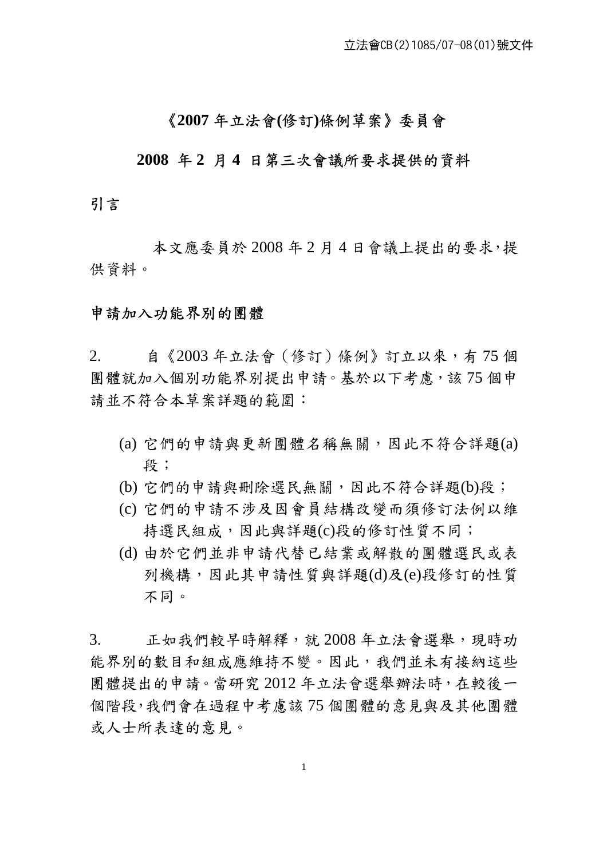## 《**2007** 年立法會**(**修訂**)**條例草案》委員會

### **2008** 年 **2** 月 **4** 日第三次會議所要求提供的資料

## 引言

本文應委員於 2008 年 2 月 4 日會議上提出的要求,提 供資料。

#### 申請加入功能界別的團體

1

2. 自《2003 年立法會(修訂)條例》訂立以來,有 75 個 團體就加入個別功能界別提出申請。基於以下考慮,該75個申 請並不符合本草案詳題的範圍:

- (a) 它們的申請與更新團體名稱無關,因此不符合詳題(a) 段;
- (b) 它們的申請與刪除選民無關,因此不符合詳題(b)段;
- (c) 它們的申請不涉及因會員結構改變而須修訂法例以維 持選民組成,因此與詳題(c)段的修訂性質不同;
- (d) 由於它們並非申請代替已結業或解散的團體選民或表 列機構,因此其申請性質與詳題(d)及(e)段修訂的性質 不同。

3. 正如我們較早時解釋,就 2008 年立法會選舉,現時功 能界別的數目和組成應維持不變。因此,我們並未有接納這些 團體提出的申請。當研究 2012 年立法會選舉辦法時,在較後一 個階段,我們會在過程中考慮該 75 個團體的意見與及其他團體 或人士所表達的意見。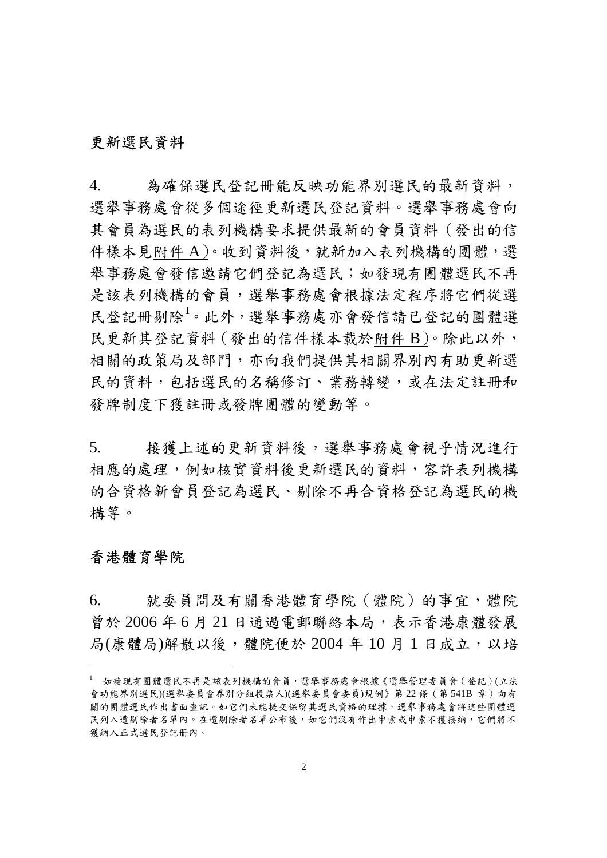## 更新選民資料

4. 為確保選民登記冊能反映功能界別選民的最新資料, 選舉事務處會從多個途徑更新選民登記資料。選舉事務處會向 其會員為選民的表列機構要求提供最新的會員資料(發出的信 件樣本見附件 A)。收到資料後,就新加入表列機構的團體,選 舉事務處會發信邀請它們登記為選民;如發現有團體選民不再 是該表列機構的會員,選舉事務處會根據法定程序將它們從選 民登記冊剔除<sup>1</sup> 。此外,選舉事務處亦會發信請已登記的團體選 民更新其登記資料(發出的信件樣本載於附件 B)。除此以外, 相關的政策局及部門,亦向我們提供其相關界別內有助更新選 民的資料,包括選民的名稱修訂、業務轉變,或在法定註冊和 發牌制度下獲註冊或發牌團體的變動等。

5. 接獲上述的更新資料後,選舉事務處會視乎情況進行 相應的處理,例如核實資料後更新選民的資料,容許表列機構 的合資格新會員登記為選民、剔除不再合資格登記為選民的機 構等。

## 香港體育學院

1

6. 就委員問及有關香港體育學院(體院)的事宜,體院 曾於 2006 年 6 月 21 日通過電郵聯絡本局,表示香港康體發展 局(康體局)解散以後,體院便於 2004年10月1日成立,以培

<sup>1</sup> 如發現有團體選民不再是該表列機構的會員,選舉事務處會根據《選舉管理委員會(登記)(立法 會功能界別選民)(選舉委員會界別分組投票人)(選舉委員會委員)規例》第22條 (第541B 章)向有 關的團體選民作出書面查訊。如它們未能提交保留其選民資格的理據,選舉事務處會將這些團體選 民列入遭剔除者名單內。在遭剔除者名單公布後,如它們沒有作出申索或申索不獲接納,它們將不 獲納入正式選民登記册內。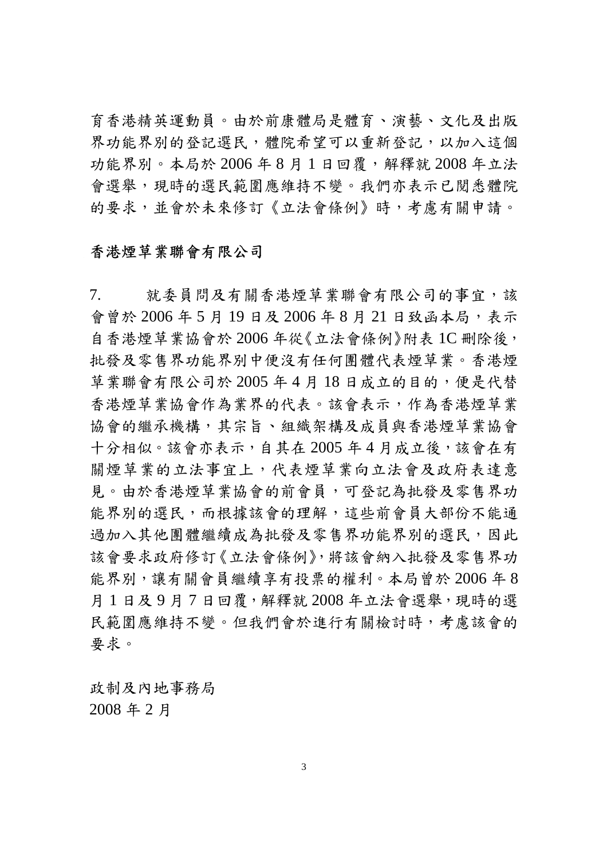育香港精英運動員。由於前康體局是體育、演藝、文化及出版 界功能界別的登記選民,體院希望可以重新登記,以加入這個 功能界別。本局於 2006年8月1日回覆,解釋就 2008年立法 會選舉,現時的選民範圍應維持不變。我們亦表示已閱悉體院 的要求,並會於未來修訂《立法會條例》時,考慮有關申請。

## 香港煙草業聯會有限公司

7. 就委員問及有關香港煙草業聯會有限公司的事宜,該 會曾於 2006年5月19日及 2006年8月21日致函本局,表示 自香港煙草業協會於 2006 年從《立法會條例》附表 1C 刪除後, 批發及零售界功能界別中便沒有任何團體代表煙草業。香港煙 草業聯會有限公司於 2005年4月18日成立的目的,便是代替 香港煙草業協會作為業界的代表。該會表示,作為香港煙草業 協會的繼承機構,其宗旨、組織架構及成員與香港煙草業協會 十分相似。該會亦表示,自其在 2005 年 4 月成立後,該會在有 關煙草業的立法事宜上,代表煙草業向立法會及政府表達意 見。由於香港煙草業協會的前會員,可登記為批發及零售界功 能界別的選民,而根據該會的理解,這些前會員大部份不能通 過加入其他團體繼續成為批發及零售界功能界別的選民,因此 該會要求政府修訂《立法會條例》,將該會納入批發及零售界功 能界別,讓有關會員繼續享有投票的權利。本局曾於 2006年8 月 1 日及 9 月 7 日回覆,解釋就 2008 年立法會選舉,現時的選 民範圍應維持不變。但我們會於進行有關檢討時,考慮該會的 要求。

政制及內地事務局 2008 年 2 月

3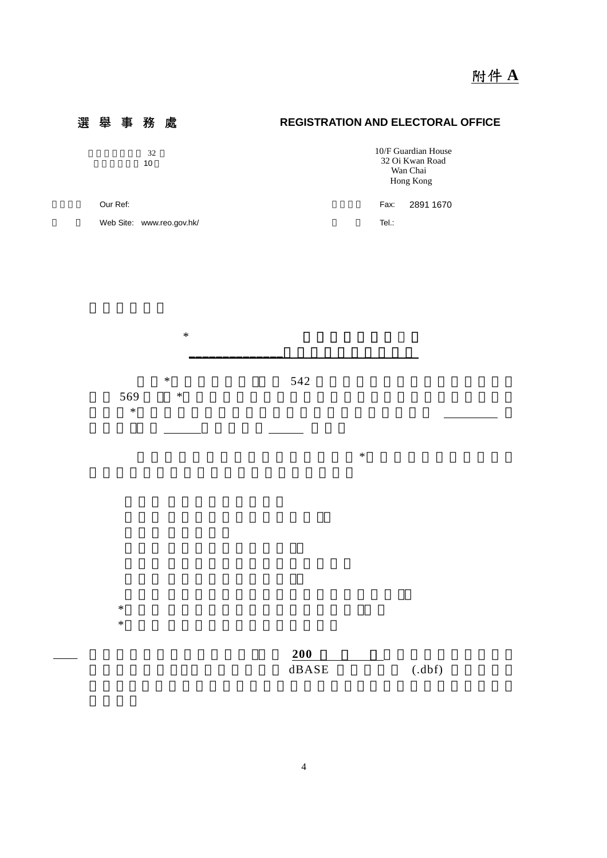



 $*$ 

 $*$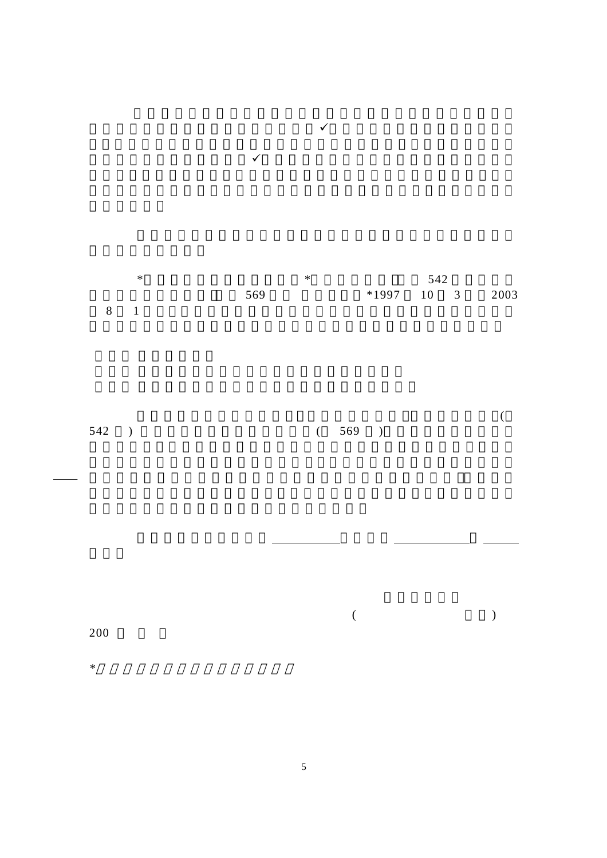$*$  542  $(569$   $*1997$   $10$  3  $2003$  $8 \t1$  $\overline{\mathcal{A}}$  $542$  )  $(569)$ **如有任何意义的**事件,但是在这样的事件。

 $\sqrt{ }$ 

 $\checkmark$ 

 $($   $)$ 200

*\**請把不適用者刪去/作出適當修改

 $\sim$  5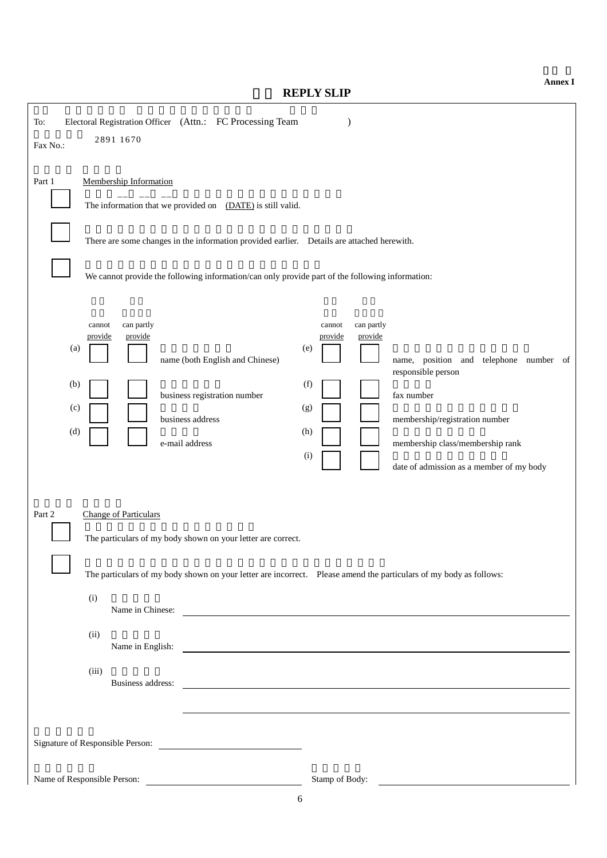**REPLY SLIP** 

| Electoral Registration Officer (Attn.: FC Processing Team<br>To:<br>2891 1670<br>Fax No.:                                                                                                                                                                                                                                                                                                                                                                        |
|------------------------------------------------------------------------------------------------------------------------------------------------------------------------------------------------------------------------------------------------------------------------------------------------------------------------------------------------------------------------------------------------------------------------------------------------------------------|
| Membership Information<br>Part 1<br>The information that we provided on (DATE) is still valid.<br>There are some changes in the information provided earlier.  Details are attached herewith.<br>We cannot provide the following information/can only provide part of the following information:                                                                                                                                                                 |
| can partly<br>can partly<br>cannot<br>cannot<br>provide<br>provide<br>provide<br>provide<br>(a)<br>(e)<br>name (both English and Chinese)<br>name, position and telephone number of<br>responsible person<br>(f)<br>(b)<br>business registration number<br>fax number<br>(c)<br>(g)<br>business address<br>membership/registration number<br>(d)<br>(h)<br>e-mail address<br>membership class/membership rank<br>(i)<br>date of admission as a member of my body |
| Part 2<br><b>Change of Particulars</b><br>The particulars of my body shown on your letter are correct.<br>The particulars of my body shown on your letter are incorrect. Please amend the particulars of my body as follows:<br>(i)<br>Name in Chinese:<br><u> 1989 - Johann Harry Harry Harry Harry Harry Harry Harry Harry Harry Harry Harry Harry Harry Harry Harry Harry</u><br>(ii)<br>(iii)<br>Business address:                                           |
| Name of Responsible Person:<br>Stamp of Body:                                                                                                                                                                                                                                                                                                                                                                                                                    |

**Annex I**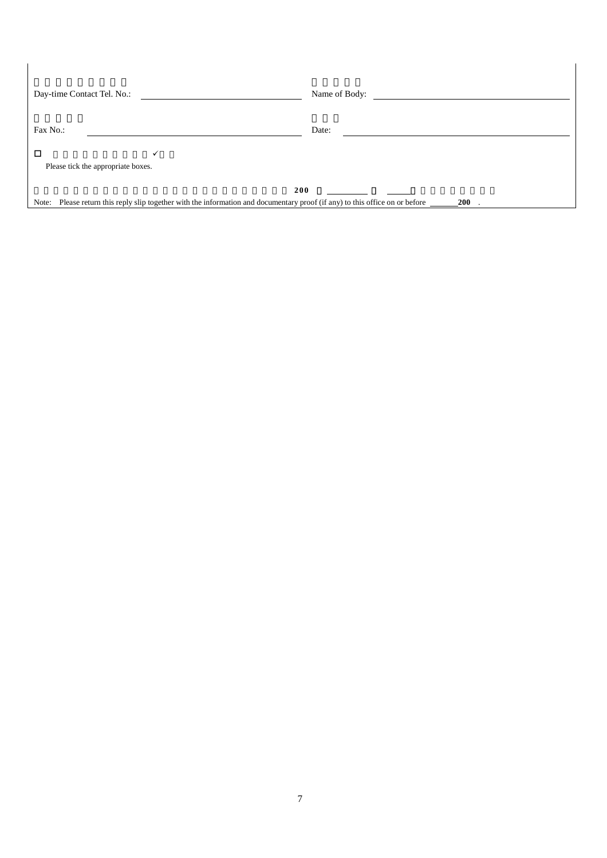| Day-time Contact Tel. No.:              | Name of Body:                                                                                                                               |
|-----------------------------------------|---------------------------------------------------------------------------------------------------------------------------------------------|
| Fax No.:                                | Date:                                                                                                                                       |
| П<br>Please tick the appropriate boxes. |                                                                                                                                             |
| Note:                                   | 200<br>Please return this reply slip together with the information and documentary proof (if any) to this office on or before<br><b>200</b> |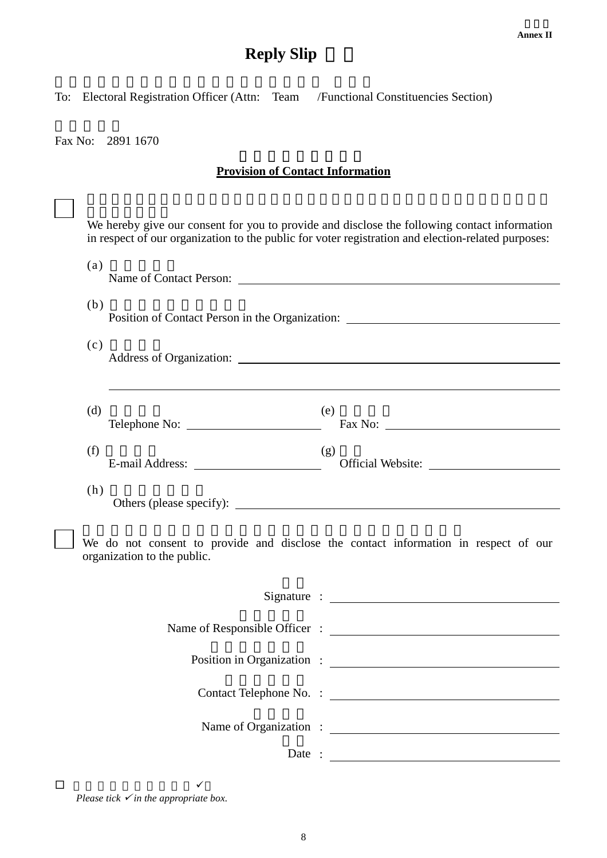# **Reply Slip**

To: Electoral Registration Officer (Attn: Team /Functional Constituencies Section)

Fax No: 2891 1670

## **Provision of Contact Information**

|   | We hereby give our consent for you to provide and disclose the following contact information<br>in respect of our organization to the public for voter registration and election-related purposes: |
|---|----------------------------------------------------------------------------------------------------------------------------------------------------------------------------------------------------|
|   | (a)                                                                                                                                                                                                |
|   | (b)<br>Position of Contact Person in the Organization: ________________________________                                                                                                            |
|   | (c)                                                                                                                                                                                                |
|   | (d)<br>(e)<br>Telephone No: Fax No: Fax No:                                                                                                                                                        |
|   | (f)<br>(g)                                                                                                                                                                                         |
|   | (h)                                                                                                                                                                                                |
|   | We do not consent to provide and disclose the contact information in respect of our<br>organization to the public.                                                                                 |
|   |                                                                                                                                                                                                    |
|   |                                                                                                                                                                                                    |
|   |                                                                                                                                                                                                    |
|   |                                                                                                                                                                                                    |
|   |                                                                                                                                                                                                    |
|   | Date: $\qquad \qquad$                                                                                                                                                                              |
| □ | ✓                                                                                                                                                                                                  |

*Please tick*  $\checkmark$  *in the appropriate box.*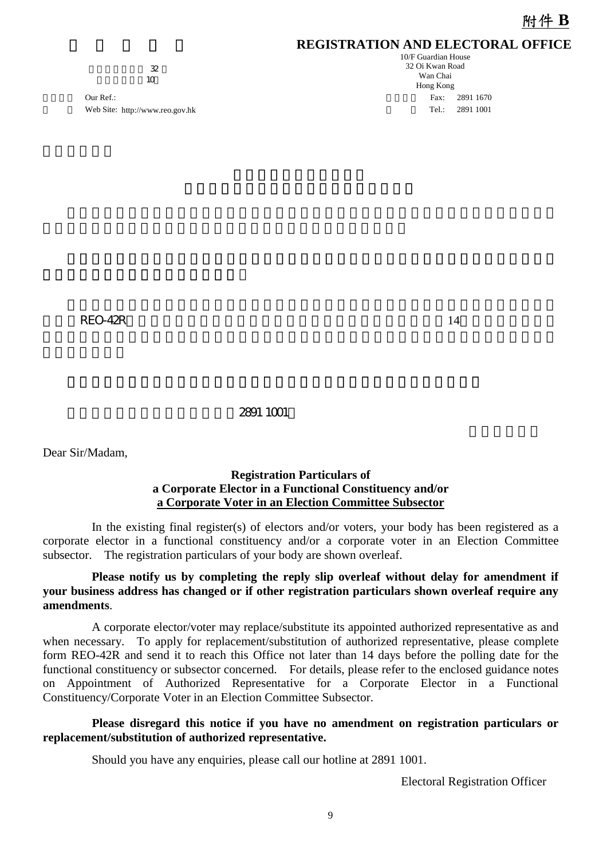### **REGISTRATION AND ELECTORAL OFFICE**

 $\overline{\mathcal{X}}$  $\frac{a}{10}$ 

Our Ref.: Fax: 2891 1670 Web Site: http://www.reo.gov.hk 1999 1001

10/F Guardian House 32 Oi Kwan Road Wan Chai Hong Kong

 $\angle$ REO-42R,  $\angle$  14

#### 如有任何查詢,請致電本處熱線2891 1001。

Dear Sir/Madam,

#### **Registration Particulars of a Corporate Elector in a Functional Constituency and/or a Corporate Voter in an Election Committee Subsector**

In the existing final register(s) of electors and/or voters, your body has been registered as a corporate elector in a functional constituency and/or a corporate voter in an Election Committee subsector. The registration particulars of your body are shown overleaf.

#### **Please notify us by completing the reply slip overleaf without delay for amendment if your business address has changed or if other registration particulars shown overleaf require any amendments**.

A corporate elector/voter may replace/substitute its appointed authorized representative as and when necessary. To apply for replacement/substitution of authorized representative, please complete form REO-42R and send it to reach this Office not later than 14 days before the polling date for the functional constituency or subsector concerned. For details, please refer to the enclosed guidance notes on Appointment of Authorized Representative for a Corporate Elector in a Functional Constituency/Corporate Voter in an Election Committee Subsector.

#### **Please disregard this notice if you have no amendment on registration particulars or replacement/substitution of authorized representative.**

Should you have any enquiries, please call our hotline at 2891 1001.

Electoral Registration Officer